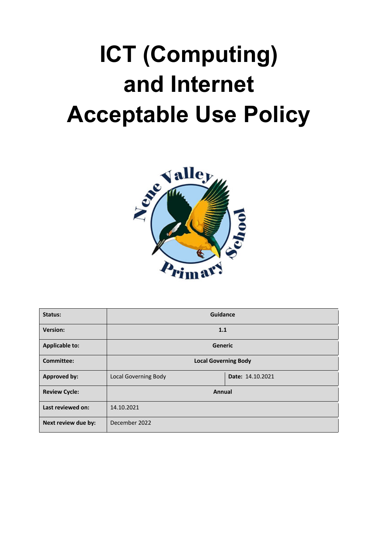# **ICT (Computing) and Internet Acceptable Use Policy**



| Status:               | Guidance                    |                  |  |
|-----------------------|-----------------------------|------------------|--|
| <b>Version:</b>       | 1.1                         |                  |  |
| <b>Applicable to:</b> | Generic                     |                  |  |
| <b>Committee:</b>     | <b>Local Governing Body</b> |                  |  |
| Approved by:          | <b>Local Governing Body</b> | Date: 14.10.2021 |  |
| <b>Review Cycle:</b>  | Annual                      |                  |  |
| Last reviewed on:     | 14.10.2021                  |                  |  |
| Next review due by:   | December 2022               |                  |  |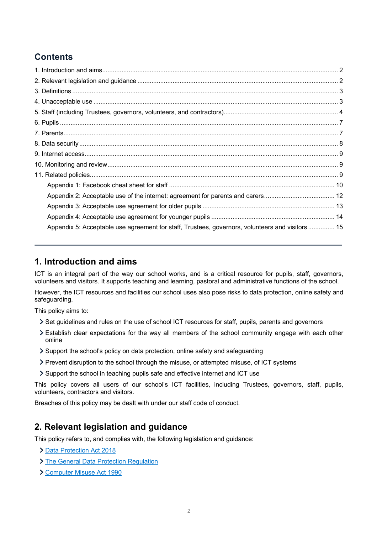# **Contents**

| Appendix 5: Acceptable use agreement for staff, Trustees, governors, volunteers and visitors  15 |  |
|--------------------------------------------------------------------------------------------------|--|

# **1. Introduction and aims**

ICT is an integral part of the way our school works, and is a critical resource for pupils, staff, governors, volunteers and visitors. It supports teaching and learning, pastoral and administrative functions of the school.

However, the ICT resources and facilities our school uses also pose risks to data protection, online safety and safeguarding.

This policy aims to:

- Set guidelines and rules on the use of school ICT resources for staff, pupils, parents and governors
- Establish clear expectations for the way all members of the school community engage with each other online
- Support the school's policy on data protection, online safety and safeguarding
- Prevent disruption to the school through the misuse, or attempted misuse, of ICT systems
- Support the school in teaching pupils safe and effective internet and ICT use

This policy covers all users of our school's ICT facilities, including Trustees, governors, staff, pupils, volunteers, contractors and visitors.

Breaches of this policy may be dealt with under our staff code of conduct.

# **2. Relevant legislation and guidance**

This policy refers to, and complies with, the following legislation and guidance:

- > Data Protection Act 2018
- > The General Data Protection Regulation
- Computer Misuse Act 1990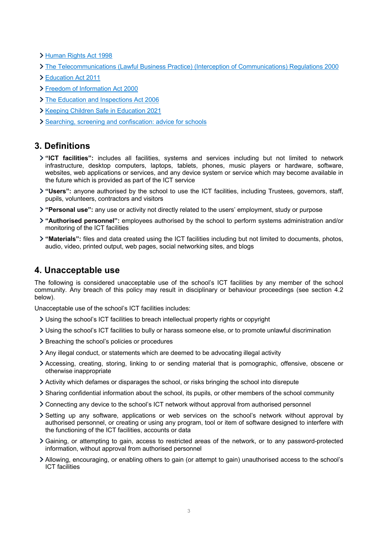Human Rights Act 1998

- The Telecommunications (Lawful Business Practice) (Interception of Communications) Regulations 2000
- Education Act 2011
- Freedom of Information Act 2000
- > The Education and Inspections Act 2006
- **X** Keeping Children Safe in Education 2021
- > Searching, screening and confiscation: advice for schools

# **3. Definitions**

- **"ICT facilities":** includes all facilities, systems and services including but not limited to network infrastructure, desktop computers, laptops, tablets, phones, music players or hardware, software, websites, web applications or services, and any device system or service which may become available in the future which is provided as part of the ICT service
- **"Users":** anyone authorised by the school to use the ICT facilities, including Trustees, governors, staff, pupils, volunteers, contractors and visitors
- **"Personal use":** any use or activity not directly related to the users' employment, study or purpose
- **"Authorised personnel":** employees authorised by the school to perform systems administration and/or monitoring of the ICT facilities
- **"Materials":** files and data created using the ICT facilities including but not limited to documents, photos, audio, video, printed output, web pages, social networking sites, and blogs

# **4. Unacceptable use**

The following is considered unacceptable use of the school's ICT facilities by any member of the school community. Any breach of this policy may result in disciplinary or behaviour proceedings (see section 4.2 below).

Unacceptable use of the school's ICT facilities includes:

- Using the school's ICT facilities to breach intellectual property rights or copyright
- Using the school's ICT facilities to bully or harass someone else, or to promote unlawful discrimination
- > Breaching the school's policies or procedures
- Any illegal conduct, or statements which are deemed to be advocating illegal activity
- Accessing, creating, storing, linking to or sending material that is pornographic, offensive, obscene or otherwise inappropriate
- Activity which defames or disparages the school, or risks bringing the school into disrepute
- Sharing confidential information about the school, its pupils, or other members of the school community
- Connecting any device to the school's ICT network without approval from authorised personnel
- Setting up any software, applications or web services on the school's network without approval by authorised personnel, or creating or using any program, tool or item of software designed to interfere with the functioning of the ICT facilities, accounts or data
- Gaining, or attempting to gain, access to restricted areas of the network, or to any password-protected information, without approval from authorised personnel
- Allowing, encouraging, or enabling others to gain (or attempt to gain) unauthorised access to the school's ICT facilities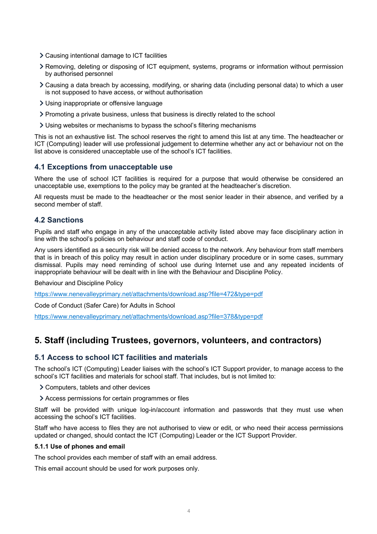- Causing intentional damage to ICT facilities
- Removing, deleting or disposing of ICT equipment, systems, programs or information without permission by authorised personnel
- Causing a data breach by accessing, modifying, or sharing data (including personal data) to which a user is not supposed to have access, or without authorisation
- Using inappropriate or offensive language
- Promoting a private business, unless that business is directly related to the school
- Using websites or mechanisms to bypass the school's filtering mechanisms

This is not an exhaustive list. The school reserves the right to amend this list at any time. The headteacher or ICT (Computing) leader will use professional judgement to determine whether any act or behaviour not on the list above is considered unacceptable use of the school's ICT facilities.

### **4.1 Exceptions from unacceptable use**

Where the use of school ICT facilities is required for a purpose that would otherwise be considered an unacceptable use, exemptions to the policy may be granted at the headteacher's discretion.

All requests must be made to the headteacher or the most senior leader in their absence, and verified by a second member of staff.

## **4.2 Sanctions**

Pupils and staff who engage in any of the unacceptable activity listed above may face disciplinary action in line with the school's policies on behaviour and staff code of conduct.

Any users identified as a security risk will be denied access to the network. Any behaviour from staff members that is in breach of this policy may result in action under disciplinary procedure or in some cases, summary dismissal. Pupils may need reminding of school use during Internet use and any repeated incidents of inappropriate behaviour will be dealt with in line with the Behaviour and Discipline Policy.

Behaviour and Discipline Policy

https://www.nenevalleyprimary.net/attachments/download.asp?file=472&type=pdf

Code of Conduct (Safer Care) for Adults in School

https://www.nenevalleyprimary.net/attachments/download.asp?file=378&type=pdf

# **5. Staff (including Trustees, governors, volunteers, and contractors)**

## **5.1 Access to school ICT facilities and materials**

The school's ICT (Computing) Leader liaises with the school's ICT Support provider, to manage access to the school's ICT facilities and materials for school staff. That includes, but is not limited to:

- Computers, tablets and other devices
- Access permissions for certain programmes or files

Staff will be provided with unique log-in/account information and passwords that they must use when accessing the school's ICT facilities.

Staff who have access to files they are not authorised to view or edit, or who need their access permissions updated or changed, should contact the ICT (Computing) Leader or the ICT Support Provider.

#### **5.1.1 Use of phones and email**

The school provides each member of staff with an email address.

This email account should be used for work purposes only.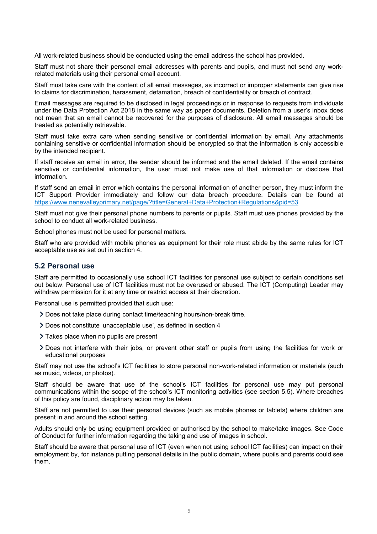All work-related business should be conducted using the email address the school has provided.

Staff must not share their personal email addresses with parents and pupils, and must not send any workrelated materials using their personal email account.

Staff must take care with the content of all email messages, as incorrect or improper statements can give rise to claims for discrimination, harassment, defamation, breach of confidentiality or breach of contract.

Email messages are required to be disclosed in legal proceedings or in response to requests from individuals under the Data Protection Act 2018 in the same way as paper documents. Deletion from a user's inbox does not mean that an email cannot be recovered for the purposes of disclosure. All email messages should be treated as potentially retrievable.

Staff must take extra care when sending sensitive or confidential information by email. Any attachments containing sensitive or confidential information should be encrypted so that the information is only accessible by the intended recipient.

If staff receive an email in error, the sender should be informed and the email deleted. If the email contains sensitive or confidential information, the user must not make use of that information or disclose that information.

If staff send an email in error which contains the personal information of another person, they must inform the ICT Support Provider immediately and follow our data breach procedure. Details can be found at https://www.nenevalleyprimary.net/page/?title=General+Data+Protection+Regulations&pid=53

Staff must not give their personal phone numbers to parents or pupils. Staff must use phones provided by the school to conduct all work-related business.

School phones must not be used for personal matters.

Staff who are provided with mobile phones as equipment for their role must abide by the same rules for ICT acceptable use as set out in section 4.

#### **5.2 Personal use**

Staff are permitted to occasionally use school ICT facilities for personal use subject to certain conditions set out below. Personal use of ICT facilities must not be overused or abused. The ICT (Computing) Leader may withdraw permission for it at any time or restrict access at their discretion.

Personal use is permitted provided that such use:

- Does not take place during contact time/teaching hours/non-break time.
- Does not constitute 'unacceptable use', as defined in section 4
- > Takes place when no pupils are present
- Does not interfere with their jobs, or prevent other staff or pupils from using the facilities for work or educational purposes

Staff may not use the school's ICT facilities to store personal non-work-related information or materials (such as music, videos, or photos).

Staff should be aware that use of the school's ICT facilities for personal use may put personal communications within the scope of the school's ICT monitoring activities (see section 5.5). Where breaches of this policy are found, disciplinary action may be taken.

Staff are not permitted to use their personal devices (such as mobile phones or tablets) where children are present in and around the school setting.

Adults should only be using equipment provided or authorised by the school to make/take images. See Code of Conduct for further information regarding the taking and use of images in school.

Staff should be aware that personal use of ICT (even when not using school ICT facilities) can impact on their employment by, for instance putting personal details in the public domain, where pupils and parents could see them.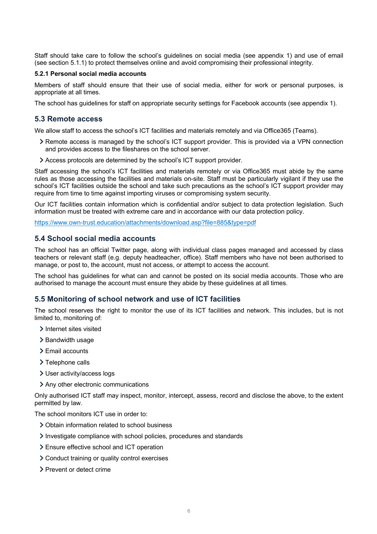Staff should take care to follow the school's guidelines on social media (see appendix 1) and use of email (see section 5.1.1) to protect themselves online and avoid compromising their professional integrity.

#### **5.2.1 Personal social media accounts**

Members of staff should ensure that their use of social media, either for work or personal purposes, is appropriate at all times.

The school has guidelines for staff on appropriate security settings for Facebook accounts (see appendix 1).

### **5.3 Remote access**

We allow staff to access the school's ICT facilities and materials remotely and via Office365 (Teams).

- Remote access is managed by the school's ICT support provider. This is provided via a VPN connection and provides access to the fileshares on the school server.
- Access protocols are determined by the school's ICT support provider.

Staff accessing the school's ICT facilities and materials remotely or via Office365 must abide by the same rules as those accessing the facilities and materials on-site. Staff must be particularly vigilant if they use the school's ICT facilities outside the school and take such precautions as the school's ICT support provider may require from time to time against importing viruses or compromising system security.

Our ICT facilities contain information which is confidential and/or subject to data protection legislation. Such information must be treated with extreme care and in accordance with our data protection policy.

https://www.own-trust.education/attachments/download.asp?file=885&type=pdf

### **5.4 School social media accounts**

The school has an official Twitter page, along with individual class pages managed and accessed by class teachers or relevant staff (e.g. deputy headteacher, office). Staff members who have not been authorised to manage, or post to, the account, must not access, or attempt to access the account.

The school has guidelines for what can and cannot be posted on its social media accounts. Those who are authorised to manage the account must ensure they abide by these guidelines at all times.

#### **5.5 Monitoring of school network and use of ICT facilities**

The school reserves the right to monitor the use of its ICT facilities and network. This includes, but is not limited to, monitoring of:

- > Internet sites visited
- > Bandwidth usage
- > Email accounts
- > Telephone calls
- User activity/access logs
- Any other electronic communications

Only authorised ICT staff may inspect, monitor, intercept, assess, record and disclose the above, to the extent permitted by law.

The school monitors ICT use in order to:

- Obtain information related to school business
- Investigate compliance with school policies, procedures and standards
- Ensure effective school and ICT operation
- Conduct training or quality control exercises
- > Prevent or detect crime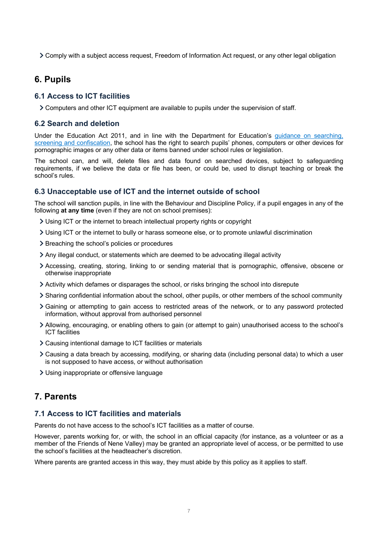Comply with a subject access request, Freedom of Information Act request, or any other legal obligation

## **6. Pupils**

## **6.1 Access to ICT facilities**

Computers and other ICT equipment are available to pupils under the supervision of staff.

#### **6.2 Search and deletion**

Under the Education Act 2011, and in line with the Department for Education's guidance on searching, screening and confiscation, the school has the right to search pupils' phones, computers or other devices for pornographic images or any other data or items banned under school rules or legislation.

The school can, and will, delete files and data found on searched devices, subject to safeguarding requirements, if we believe the data or file has been, or could be, used to disrupt teaching or break the school's rules.

#### **6.3 Unacceptable use of ICT and the internet outside of school**

The school will sanction pupils, in line with the Behaviour and Discipline Policy, if a pupil engages in any of the following **at any time** (even if they are not on school premises):

- Using ICT or the internet to breach intellectual property rights or copyright
- Using ICT or the internet to bully or harass someone else, or to promote unlawful discrimination
- > Breaching the school's policies or procedures
- Any illegal conduct, or statements which are deemed to be advocating illegal activity
- Accessing, creating, storing, linking to or sending material that is pornographic, offensive, obscene or otherwise inappropriate
- Activity which defames or disparages the school, or risks bringing the school into disrepute
- Sharing confidential information about the school, other pupils, or other members of the school community
- Gaining or attempting to gain access to restricted areas of the network, or to any password protected information, without approval from authorised personnel
- Allowing, encouraging, or enabling others to gain (or attempt to gain) unauthorised access to the school's ICT facilities
- Causing intentional damage to ICT facilities or materials
- Causing a data breach by accessing, modifying, or sharing data (including personal data) to which a user is not supposed to have access, or without authorisation
- Using inappropriate or offensive language

# **7. Parents**

## **7.1 Access to ICT facilities and materials**

Parents do not have access to the school's ICT facilities as a matter of course.

However, parents working for, or with, the school in an official capacity (for instance, as a volunteer or as a member of the Friends of Nene Valley) may be granted an appropriate level of access, or be permitted to use the school's facilities at the headteacher's discretion.

Where parents are granted access in this way, they must abide by this policy as it applies to staff.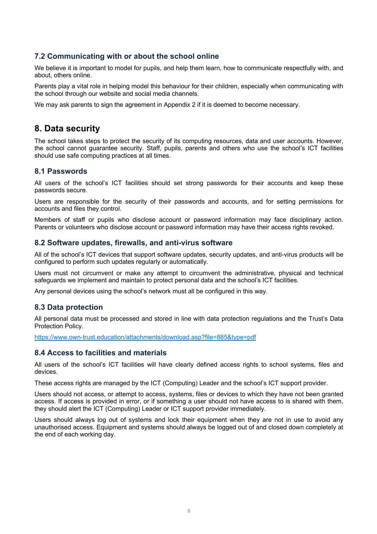## **7.2 Communicating with or about the school online**

We believe it is important to model for pupils, and help them learn, how to communicate respectfully with, and about, others online.

Parents play a vital role in helping model this behaviour for their children, especially when communicating with the school through our website and social media channels.

We may ask parents to sign the agreement in Appendix 2 if it is deemed to become necessary.

# **8. Data security**

The school takes steps to protect the security of its computing resources, data and user accounts. However, the school cannot guarantee security. Staff, pupils, parents and others who use the school's ICT facilities should use safe computing practices at all times.

### **8.1 Passwords**

All users of the school's ICT facilities should set strong passwords for their accounts and keep these passwords secure.

Users are responsible for the security of their passwords and accounts, and for setting permissions for accounts and files they control.

Members of staff or pupils who disclose account or password information may face disciplinary action. Parents or volunteers who disclose account or password information may have their access rights revoked.

#### **8.2 Software updates, firewalls, and anti-virus software**

All of the school's ICT devices that support software updates, security updates, and anti-virus products will be configured to perform such updates regularly or automatically.

Users must not circumvent or make any attempt to circumvent the administrative, physical and technical safeguards we implement and maintain to protect personal data and the school's ICT facilities.

Any personal devices using the school's network must all be configured in this way.

## **8.3 Data protection**

All personal data must be processed and stored in line with data protection regulations and the Trust's Data Protection Policy.

https://www.own-trust.education/attachments/download.asp?file=885&type=pdf

### **8.4 Access to facilities and materials**

All users of the school's ICT facilities will have clearly defined access rights to school systems, files and devices.

These access rights are managed by the ICT (Computing) Leader and the school's ICT support provider.

Users should not access, or attempt to access, systems, files or devices to which they have not been granted access. If access is provided in error, or if something a user should not have access to is shared with them, they should alert the ICT (Computing) Leader or ICT support provider immediately.

Users should always log out of systems and lock their equipment when they are not in use to avoid any unauthorised access. Equipment and systems should always be logged out of and closed down completely at the end of each working day.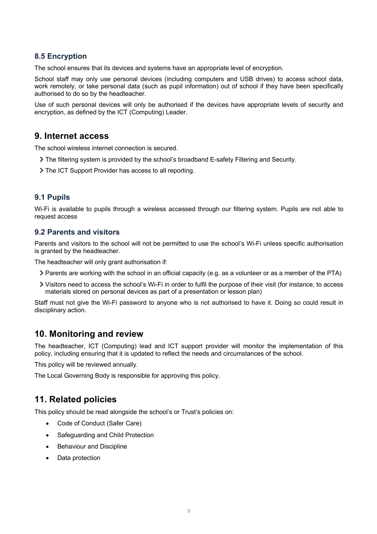## **8.5 Encryption**

The school ensures that its devices and systems have an appropriate level of encryption.

School staff may only use personal devices (including computers and USB drives) to access school data, work remotely, or take personal data (such as pupil information) out of school if they have been specifically authorised to do so by the headteacher.

Use of such personal devices will only be authorised if the devices have appropriate levels of security and encryption, as defined by the ICT (Computing) Leader.

## **9. Internet access**

The school wireless internet connection is secured.

- The filtering system is provided by the school's broadband E-safety Filtering and Security.
- The ICT Support Provider has access to all reporting.

## **9.1 Pupils**

Wi-Fi is available to pupils through a wireless accessed through our filtering system. Pupils are not able to request access

### **9.2 Parents and visitors**

Parents and visitors to the school will not be permitted to use the school's Wi-Fi unless specific authorisation is granted by the headteacher.

The headteacher will only grant authorisation if:

- Parents are working with the school in an official capacity (e.g. as a volunteer or as a member of the PTA)
- Visitors need to access the school's Wi-Fi in order to fulfil the purpose of their visit (for instance, to access materials stored on personal devices as part of a presentation or lesson plan)

Staff must not give the Wi-Fi password to anyone who is not authorised to have it. Doing so could result in disciplinary action.

# **10. Monitoring and review**

The headteacher, ICT (Computing) lead and ICT support provider will monitor the implementation of this policy, including ensuring that it is updated to reflect the needs and circumstances of the school.

This policy will be reviewed annually.

The Local Governing Body is responsible for approving this policy.

# **11. Related policies**

This policy should be read alongside the school's or Trust's policies on:

- Code of Conduct (Safer Care)
- Safeguarding and Child Protection
- **Behaviour and Discipline**
- Data protection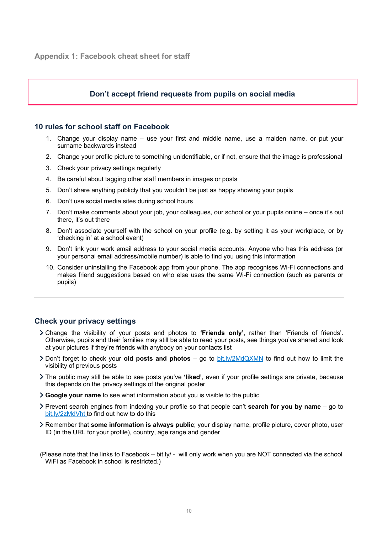## **Don't accept friend requests from pupils on social media**

## **10 rules for school staff on Facebook**

- 1. Change your display name use your first and middle name, use a maiden name, or put your surname backwards instead
- 2. Change your profile picture to something unidentifiable, or if not, ensure that the image is professional
- 3. Check your privacy settings regularly
- 4. Be careful about tagging other staff members in images or posts
- 5. Don't share anything publicly that you wouldn't be just as happy showing your pupils
- 6. Don't use social media sites during school hours
- 7. Don't make comments about your job, your colleagues, our school or your pupils online once it's out there, it's out there
- 8. Don't associate yourself with the school on your profile (e.g. by setting it as your workplace, or by 'checking in' at a school event)
- 9. Don't link your work email address to your social media accounts. Anyone who has this address (or your personal email address/mobile number) is able to find you using this information
- 10. Consider uninstalling the Facebook app from your phone. The app recognises Wi-Fi connections and makes friend suggestions based on who else uses the same Wi-Fi connection (such as parents or pupils)

## **Check your privacy settings**

- Change the visibility of your posts and photos to **'Friends only'**, rather than 'Friends of friends'. Otherwise, pupils and their families may still be able to read your posts, see things you've shared and look at your pictures if they're friends with anybody on your contacts list
- Don't forget to check your **old posts and photos** go to bit.ly/2MdQXMN to find out how to limit the visibility of previous posts
- The public may still be able to see posts you've **'liked'**, even if your profile settings are private, because this depends on the privacy settings of the original poster
- **Google your name** to see what information about you is visible to the public
- Prevent search engines from indexing your profile so that people can't **search for you by name** go to bit.ly/2zMdVht to find out how to do this
- Remember that **some information is always public**; your display name, profile picture, cover photo, user ID (in the URL for your profile), country, age range and gender
- (Please note that the links to Facebook bit.ly/ will only work when you are NOT connected via the school WiFi as Facebook in school is restricted.)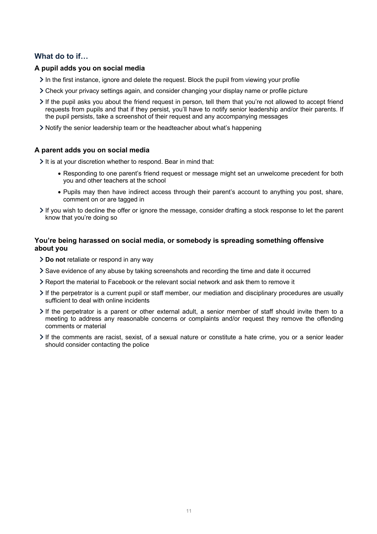## **What do to if…**

#### **A pupil adds you on social media**

- In the first instance, ignore and delete the request. Block the pupil from viewing your profile
- Check your privacy settings again, and consider changing your display name or profile picture
- If the pupil asks you about the friend request in person, tell them that you're not allowed to accept friend requests from pupils and that if they persist, you'll have to notify senior leadership and/or their parents. If the pupil persists, take a screenshot of their request and any accompanying messages
- Notify the senior leadership team or the headteacher about what's happening

#### **A parent adds you on social media**

It is at your discretion whether to respond. Bear in mind that:

- Responding to one parent's friend request or message might set an unwelcome precedent for both you and other teachers at the school
- Pupils may then have indirect access through their parent's account to anything you post, share, comment on or are tagged in
- If you wish to decline the offer or ignore the message, consider drafting a stock response to let the parent know that you're doing so

### **You're being harassed on social media, or somebody is spreading something offensive about you**

- **Do not** retaliate or respond in any way
- Save evidence of any abuse by taking screenshots and recording the time and date it occurred
- Report the material to Facebook or the relevant social network and ask them to remove it
- If the perpetrator is a current pupil or staff member, our mediation and disciplinary procedures are usually sufficient to deal with online incidents
- $\geq$  If the perpetrator is a parent or other external adult, a senior member of staff should invite them to a meeting to address any reasonable concerns or complaints and/or request they remove the offending comments or material
- If the comments are racist, sexist, of a sexual nature or constitute a hate crime, you or a senior leader should consider contacting the police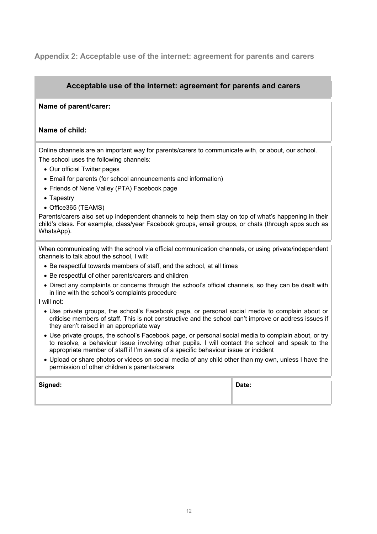## **Appendix 2: Acceptable use of the internet: agreement for parents and carers**

## **Acceptable use of the internet: agreement for parents and carers**

#### **Name of parent/carer:**

#### **Name of child:**

Online channels are an important way for parents/carers to communicate with, or about, our school. The school uses the following channels:

- Our official Twitter pages
- Email for parents (for school announcements and information)
- Friends of Nene Valley (PTA) Facebook page
- Tapestry
- Office365 (TEAMS)

Parents/carers also set up independent channels to help them stay on top of what's happening in their child's class. For example, class/year Facebook groups, email groups, or chats (through apps such as WhatsApp).

When communicating with the school via official communication channels, or using private/independent channels to talk about the school, I will:

- Be respectful towards members of staff, and the school, at all times
- Be respectful of other parents/carers and children
- Direct any complaints or concerns through the school's official channels, so they can be dealt with in line with the school's complaints procedure

I will not:

- Use private groups, the school's Facebook page, or personal social media to complain about or criticise members of staff. This is not constructive and the school can't improve or address issues if they aren't raised in an appropriate way
- Use private groups, the school's Facebook page, or personal social media to complain about, or try to resolve, a behaviour issue involving other pupils. I will contact the school and speak to the appropriate member of staff if I'm aware of a specific behaviour issue or incident
- Upload or share photos or videos on social media of any child other than my own, unless I have the permission of other children's parents/carers

| Signed: | Date: |
|---------|-------|
|         |       |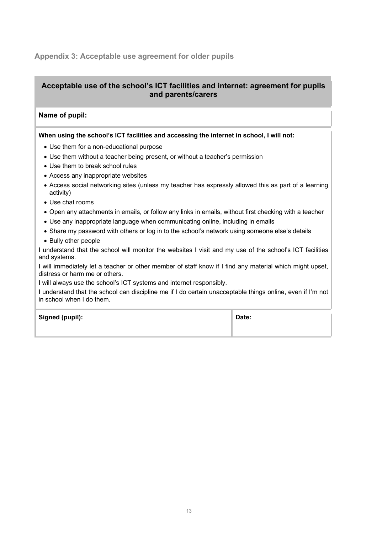## **Appendix 3: Acceptable use agreement for older pupils**

## **Acceptable use of the school's ICT facilities and internet: agreement for pupils and parents/carers**

### **Name of pupil:**

#### **When using the school's ICT facilities and accessing the internet in school, I will not:**

- Use them for a non-educational purpose
- Use them without a teacher being present, or without a teacher's permission
- Use them to break school rules
- Access any inappropriate websites
- Access social networking sites (unless my teacher has expressly allowed this as part of a learning activity)
- Use chat rooms
- Open any attachments in emails, or follow any links in emails, without first checking with a teacher
- Use any inappropriate language when communicating online, including in emails
- Share my password with others or log in to the school's network using someone else's details
- Bully other people

I understand that the school will monitor the websites I visit and my use of the school's ICT facilities and systems.

I will immediately let a teacher or other member of staff know if I find any material which might upset, distress or harm me or others.

I will always use the school's ICT systems and internet responsibly.

I understand that the school can discipline me if I do certain unacceptable things online, even if I'm not in school when I do them.

**Signed (pupil): Date:**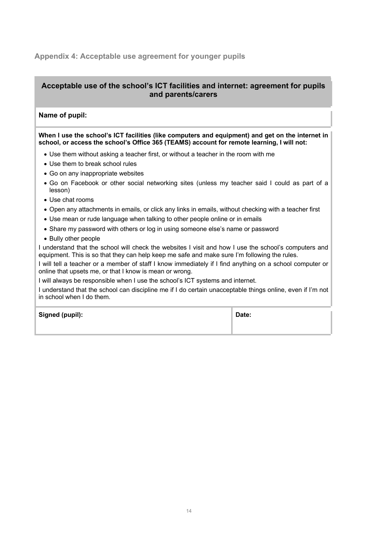## **Appendix 4: Acceptable use agreement for younger pupils**

## **Acceptable use of the school's ICT facilities and internet: agreement for pupils and parents/carers**

## **Name of pupil:**

#### **When I use the school's ICT facilities (like computers and equipment) and get on the internet in school, or access the school's Office 365 (TEAMS) account for remote learning, I will not:**

- Use them without asking a teacher first, or without a teacher in the room with me
- Use them to break school rules
- Go on any inappropriate websites
- Go on Facebook or other social networking sites (unless my teacher said I could as part of a lesson)
- Use chat rooms
- Open any attachments in emails, or click any links in emails, without checking with a teacher first
- Use mean or rude language when talking to other people online or in emails
- Share my password with others or log in using someone else's name or password
- Bully other people

I understand that the school will check the websites I visit and how I use the school's computers and equipment. This is so that they can help keep me safe and make sure I'm following the rules.

I will tell a teacher or a member of staff I know immediately if I find anything on a school computer or online that upsets me, or that I know is mean or wrong.

I will always be responsible when I use the school's ICT systems and internet.

I understand that the school can discipline me if I do certain unacceptable things online, even if I'm not in school when I do them.

**Signed (pupil): Date:**